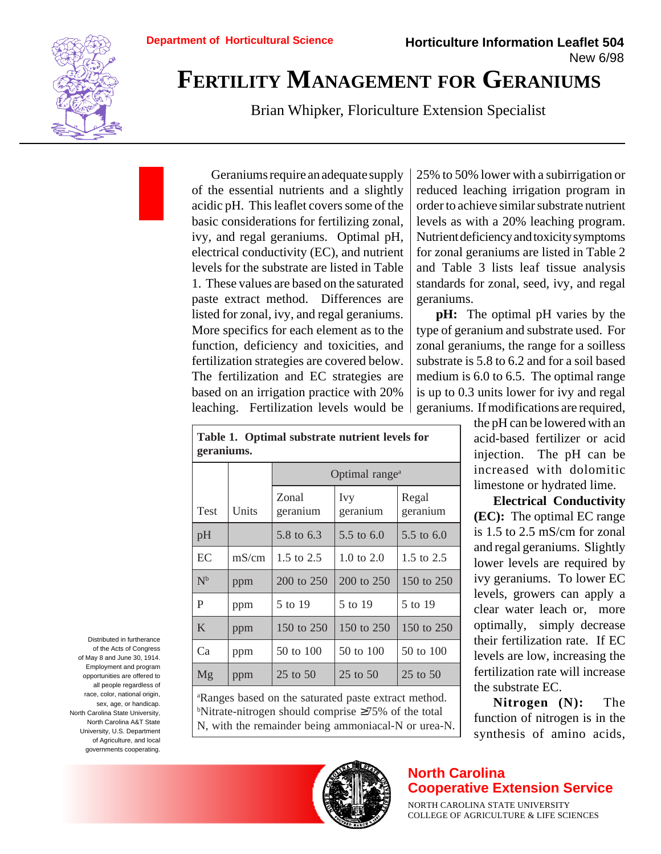

## **FERTILITY MANAGEMENT FOR GERANIUMS**

Brian Whipker, Floriculture Extension Specialist

Geraniums require an adequate supply of the essential nutrients and a slightly acidic pH. This leaflet covers some of the basic considerations for fertilizing zonal, ivy, and regal geraniums. Optimal pH, electrical conductivity (EC), and nutrient levels for the substrate are listed in Table 1. These values are based on the saturated paste extract method. Differences are listed for zonal, ivy, and regal geraniums. More specifics for each element as to the function, deficiency and toxicities, and fertilization strategies are covered below. The fertilization and EC strategies are based on an irrigation practice with 20% leaching. Fertilization levels would be 25% to 50% lower with a subirrigation or reduced leaching irrigation program in order to achieve similar substrate nutrient levels as with a 20% leaching program. Nutrient deficiency and toxicity symptoms for zonal geraniums are listed in Table 2 and Table 3 lists leaf tissue analysis standards for zonal, seed, ivy, and regal geraniums.

**pH:** The optimal pH varies by the type of geranium and substrate used. For zonal geraniums, the range for a soilless substrate is 5.8 to 6.2 and for a soil based medium is 6.0 to 6.5. The optimal range is up to 0.3 units lower for ivy and regal geraniums. If modifications are required,

> the pH can be lowered with an acid-based fertilizer or acid injection. The pH can be increased with dolomitic limestone or hydrated lime.

> **Electrical Conductivity (EC):** The optimal EC range is 1.5 to 2.5 mS/cm for zonal and regal geraniums. Slightly lower levels are required by ivy geraniums. To lower EC levels, growers can apply a clear water leach or, more optimally, simply decrease their fertilization rate. If EC levels are low, increasing the fertilization rate will increase the substrate EC.

> **Nitrogen (N):** The function of nitrogen is in the synthesis of amino acids,

| gel alliuliis. |       |                            |                 |                       |  |  |  |
|----------------|-------|----------------------------|-----------------|-----------------------|--|--|--|
|                |       | Optimal range <sup>a</sup> |                 |                       |  |  |  |
| <b>Test</b>    | Units | Zonal<br>geranium          | Ivy<br>geranium | Regal<br>geranium     |  |  |  |
| pH             |       | 5.8 to 6.3                 | 5.5 to $6.0$    | $5.5 \text{ to } 6.0$ |  |  |  |
| EC             | mS/cm | 1.5 to $2.5$               | 1.0 to $2.0$    | 1.5 to $2.5$          |  |  |  |
| $N^b$          | ppm   | 200 to 250                 | 200 to 250      | 150 to 250            |  |  |  |
| P              | ppm   | 5 to 19                    | 5 to 19         | 5 to 19               |  |  |  |
| K              | ppm   | 150 to 250                 | 150 to 250      | 150 to 250            |  |  |  |
| Ca             | ppm   | 50 to 100                  | 50 to 100       | 50 to 100             |  |  |  |

a Ranges based on the saturated paste extract method. b Nitrate-nitrogen should comprise ≥75% of the total N, with the remainder being ammoniacal-N or urea-N.

Mg ppm 25 to 50 25 to 50 25 to 50

Distributed in furtherance of the Acts of Congress of May 8 and June 30, 1914. Employment and program opportunities are offered to all people regardless of race, color, national origin, sex, age, or handicap. North Carolina State University, North Carolina A&T State University, U.S. Department of Agriculture, and local governments cooperating.



## **North Carolina Cooperative Extension Service**

NORTH CAROLINA STATE UNIVERSITY COLLEGE OF AGRICULTURE & LIFE SCIENCES

**geraniums.**

**Table 1. Optimal substrate nutrient levels for**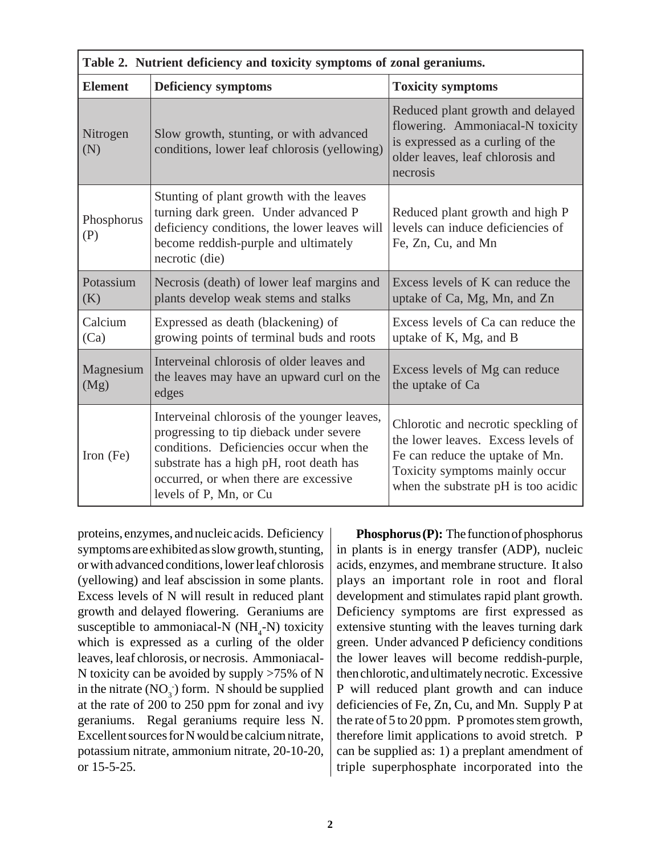| Table 2. Nutrient deficiency and toxicity symptoms of zonal geraniums. |                                                                                                                                                                                                                                                  |                                                                                                                                                                                       |  |  |  |  |
|------------------------------------------------------------------------|--------------------------------------------------------------------------------------------------------------------------------------------------------------------------------------------------------------------------------------------------|---------------------------------------------------------------------------------------------------------------------------------------------------------------------------------------|--|--|--|--|
| <b>Element</b>                                                         | <b>Deficiency symptoms</b>                                                                                                                                                                                                                       | <b>Toxicity symptoms</b>                                                                                                                                                              |  |  |  |  |
| Nitrogen<br>(N)                                                        | Slow growth, stunting, or with advanced<br>conditions, lower leaf chlorosis (yellowing)                                                                                                                                                          | Reduced plant growth and delayed<br>flowering. Ammoniacal-N toxicity<br>is expressed as a curling of the<br>older leaves, leaf chlorosis and<br>necrosis                              |  |  |  |  |
| Phosphorus<br>(P)                                                      | Stunting of plant growth with the leaves<br>turning dark green. Under advanced P<br>deficiency conditions, the lower leaves will<br>become reddish-purple and ultimately<br>necrotic (die)                                                       | Reduced plant growth and high P<br>levels can induce deficiencies of<br>Fe, Zn, Cu, and Mn                                                                                            |  |  |  |  |
| Potassium<br>(K)                                                       | Necrosis (death) of lower leaf margins and<br>plants develop weak stems and stalks                                                                                                                                                               | Excess levels of K can reduce the<br>uptake of Ca, Mg, Mn, and Zn                                                                                                                     |  |  |  |  |
| Calcium<br>(Ca)                                                        | Expressed as death (blackening) of<br>growing points of terminal buds and roots                                                                                                                                                                  | Excess levels of Ca can reduce the<br>uptake of K, Mg, and B                                                                                                                          |  |  |  |  |
| Magnesium<br>(Mg)                                                      | Interveinal chlorosis of older leaves and<br>the leaves may have an upward curl on the<br>edges                                                                                                                                                  | Excess levels of Mg can reduce<br>the uptake of Ca                                                                                                                                    |  |  |  |  |
| Iron $(Fe)$                                                            | Interveinal chlorosis of the younger leaves,<br>progressing to tip dieback under severe<br>conditions. Deficiencies occur when the<br>substrate has a high pH, root death has<br>occurred, or when there are excessive<br>levels of P, Mn, or Cu | Chlorotic and necrotic speckling of<br>the lower leaves. Excess levels of<br>Fe can reduce the uptake of Mn.<br>Toxicity symptoms mainly occur<br>when the substrate pH is too acidic |  |  |  |  |

proteins, enzymes, and nucleic acids. Deficiency symptoms are exhibited as slow growth, stunting, or with advanced conditions, lower leaf chlorosis (yellowing) and leaf abscission in some plants. Excess levels of N will result in reduced plant growth and delayed flowering. Geraniums are susceptible to ammoniacal-N  $(NH_4-N)$  toxicity which is expressed as a curling of the older leaves, leaf chlorosis, or necrosis. Ammoniacal-N toxicity can be avoided by supply >75% of N in the nitrate  $(NO_3^-)$  form. N should be supplied at the rate of 200 to 250 ppm for zonal and ivy geraniums. Regal geraniums require less N. Excellent sources for N would be calcium nitrate, potassium nitrate, ammonium nitrate, 20-10-20, or 15-5-25.

**Phosphorus (P):** The function of phosphorus in plants is in energy transfer (ADP), nucleic acids, enzymes, and membrane structure. It also plays an important role in root and floral development and stimulates rapid plant growth. Deficiency symptoms are first expressed as extensive stunting with the leaves turning dark green. Under advanced P deficiency conditions the lower leaves will become reddish-purple, then chlorotic, and ultimately necrotic. Excessive P will reduced plant growth and can induce deficiencies of Fe, Zn, Cu, and Mn. Supply P at the rate of 5 to 20 ppm. P promotes stem growth, therefore limit applications to avoid stretch. P can be supplied as: 1) a preplant amendment of triple superphosphate incorporated into the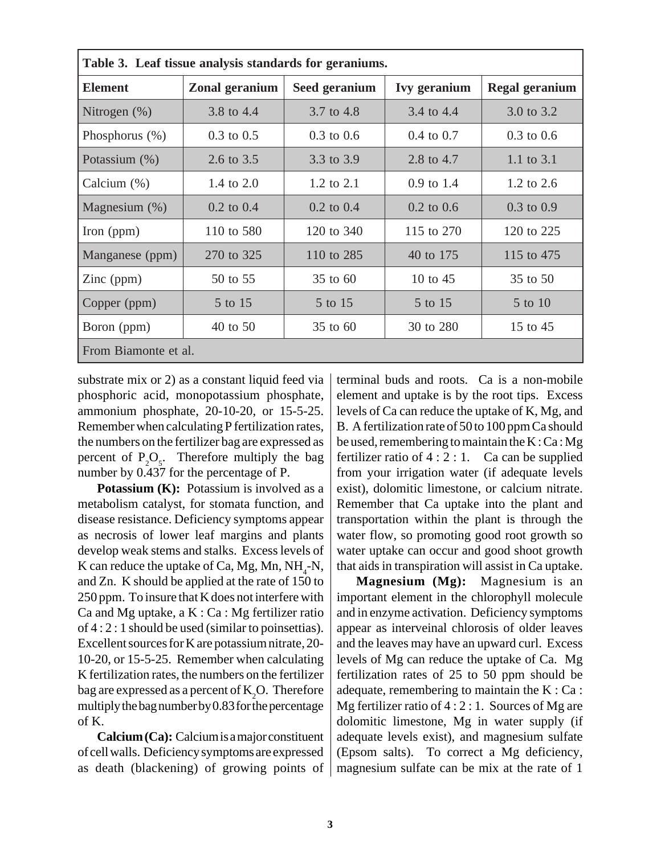| Table 3. Leaf tissue analysis standards for geraniums. |                       |                |                       |                       |  |  |  |
|--------------------------------------------------------|-----------------------|----------------|-----------------------|-----------------------|--|--|--|
| <b>Element</b>                                         | Zonal geranium        | Seed geranium  | <b>Ivy geranium</b>   | <b>Regal geranium</b> |  |  |  |
| Nitrogen $(\%)$                                        | 3.8 to 4.4            | 3.7 to 4.8     | 3.4 to 4.4            | 3.0 to 3.2            |  |  |  |
| Phosphorus $(\%)$                                      | $0.3$ to $0.5$        | $0.3$ to $0.6$ | $0.4 \text{ to } 0.7$ | $0.3 \text{ to } 0.6$ |  |  |  |
| Potassium (%)                                          | 2.6 to 3.5            | 3.3 to 3.9     | 2.8 to 4.7            | 1.1 to $3.1$          |  |  |  |
| Calcium $(\%)$                                         | 1.4 to 2.0            | 1.2 to 2.1     | $0.9 \text{ to } 1.4$ | 1.2 to $2.6$          |  |  |  |
| Magnesium $(\%)$                                       | $0.2 \text{ to } 0.4$ | $0.2$ to $0.4$ | $0.2 \text{ to } 0.6$ | $0.3 \text{ to } 0.9$ |  |  |  |
| Iron $(ppm)$                                           | 110 to 580            | 120 to 340     | 115 to 270            | 120 to 225            |  |  |  |
| Manganese (ppm)                                        | 270 to 325            | 110 to 285     | 40 to 175             | 115 to 475            |  |  |  |
| $\text{Zinc (ppm)}$                                    | 50 to 55              | 35 to 60       | 10 to $45$            | 35 to 50              |  |  |  |
| Copper (ppm)                                           | 5 to 15               | 5 to 15        | 5 to 15               | 5 to 10               |  |  |  |
| Boron (ppm)                                            | 40 to 50              | 35 to 60       | 30 to 280             | 15 to 45              |  |  |  |
| From Biamonte et al.                                   |                       |                |                       |                       |  |  |  |

substrate mix or 2) as a constant liquid feed via phosphoric acid, monopotassium phosphate, ammonium phosphate, 20-10-20, or 15-5-25. Remember when calculating P fertilization rates, the numbers on the fertilizer bag are expressed as percent of  $P_2O_5$ . Therefore multiply the bag number by 0.437 for the percentage of P.

**Potassium (K):** Potassium is involved as a metabolism catalyst, for stomata function, and disease resistance. Deficiency symptoms appear as necrosis of lower leaf margins and plants develop weak stems and stalks. Excess levels of K can reduce the uptake of Ca, Mg, Mn,  $NH_{4}$ -N, and Zn. K should be applied at the rate of 150 to 250 ppm. To insure that K does not interfere with Ca and Mg uptake,  $a K : Ca : Mg$  fertilizer ratio of 4 : 2 : 1 should be used (similar to poinsettias). Excellent sources for K are potassium nitrate, 20- 10-20, or 15-5-25. Remember when calculating K fertilization rates, the numbers on the fertilizer bag are expressed as a percent of  $K_{2}O$ . Therefore multiply the bag number by 0.83 for the percentage of K.

**Calcium (Ca):** Calcium is a major constituent of cell walls. Deficiency symptoms are expressed as death (blackening) of growing points of terminal buds and roots. Ca is a non-mobile element and uptake is by the root tips. Excess levels of Ca can reduce the uptake of K, Mg, and B. A fertilization rate of 50 to 100 ppm Ca should be used, remembering to maintain the K : Ca : Mg fertilizer ratio of  $4:2:1$ . Ca can be supplied from your irrigation water (if adequate levels exist), dolomitic limestone, or calcium nitrate. Remember that Ca uptake into the plant and transportation within the plant is through the water flow, so promoting good root growth so water uptake can occur and good shoot growth that aids in transpiration will assist in Ca uptake.

**Magnesium (Mg):** Magnesium is an important element in the chlorophyll molecule and in enzyme activation. Deficiency symptoms appear as interveinal chlorosis of older leaves and the leaves may have an upward curl. Excess levels of Mg can reduce the uptake of Ca. Mg fertilization rates of 25 to 50 ppm should be adequate, remembering to maintain the K : Ca : Mg fertilizer ratio of  $4:2:1$ . Sources of Mg are dolomitic limestone, Mg in water supply (if adequate levels exist), and magnesium sulfate (Epsom salts). To correct a Mg deficiency, magnesium sulfate can be mix at the rate of 1